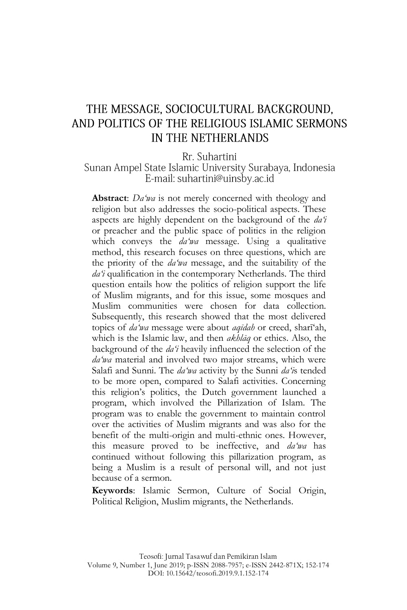# THE MESSAGE, SOCIOCULTURAL BACKGROUND, AND POLITICS OF THE RELIGIOUS ISLAMIC SERMONS IN THE NETHERLANDS

Rr. Suhartini

#### Sunan Ampel State Islamic University Surabaya, Indonesia E-mail: suhartini@uinsby.ac.id

**Abstract**: *Da'wa* is not merely concerned with theology and religion but also addresses the socio-political aspects. These aspects are highly dependent on the background of the *da'i* or preacher and the public space of politics in the religion which conveys the *da'wa* message. Using a qualitative method, this research focuses on three questions, which are the priority of the *da'wa* message, and the suitability of the *da'i* qualification in the contemporary Netherlands. The third question entails how the politics of religion support the life of Muslim migrants, and for this issue, some mosques and Muslim communities were chosen for data collection. Subsequently, this research showed that the most delivered topics of *da'wa* message were about *aqīdah* or creed, sharī"ah, which is the Islamic law, and then *akhlāq* or ethics. Also, the background of the *da'i* heavily influenced the selection of the *da'wa* material and involved two major streams, which were Salafi and Sunni. The *da'wa* activity by the Sunni *da'i*s tended to be more open, compared to Salafi activities. Concerning this religion"s politics, the Dutch government launched a program, which involved the Pillarization of Islam. The program was to enable the government to maintain control over the activities of Muslim migrants and was also for the benefit of the multi-origin and multi-ethnic ones. However, this measure proved to be ineffective, and *da'wa* has continued without following this pillarization program, as being a Muslim is a result of personal will, and not just because of a sermon.

**Keywords**: Islamic Sermon, Culture of Social Origin, Political Religion, Muslim migrants, the Netherlands.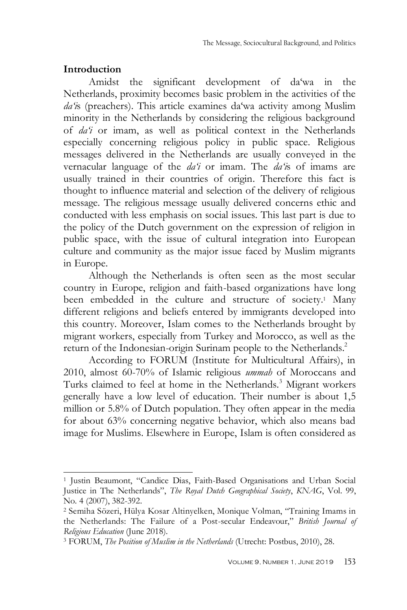### **Introduction**

-

Amidst the significant development of da"wa in the Netherlands, proximity becomes basic problem in the activities of the *da'i*s (preachers). This article examines da'wa activity among Muslim minority in the Netherlands by considering the religious background of *da'i* or imam, as well as political context in the Netherlands especially concerning religious policy in public space. Religious messages delivered in the Netherlands are usually conveyed in the vernacular language of the *da'i* or imam. The *da'i*s of imams are usually trained in their countries of origin. Therefore this fact is thought to influence material and selection of the delivery of religious message. The religious message usually delivered concerns ethic and conducted with less emphasis on social issues. This last part is due to the policy of the Dutch government on the expression of religion in public space, with the issue of cultural integration into European culture and community as the major issue faced by Muslim migrants in Europe.

Although the Netherlands is often seen as the most secular country in Europe, religion and faith-based organizations have long been embedded in the culture and structure of society.<sup>1</sup> Many different religions and beliefs entered by immigrants developed into this country. Moreover, Islam comes to the Netherlands brought by migrant workers, especially from Turkey and Morocco, as well as the return of the Indonesian-origin Surinam people to the Netherlands.<sup>2</sup>

According to FORUM (Institute for Multicultural Affairs), in 2010, almost 60-70% of Islamic religious *ummah* of Moroccans and Turks claimed to feel at home in the Netherlands.<sup>3</sup> Migrant workers generally have a low level of education. Their number is about 1,5 million or 5.8% of Dutch population. They often appear in the media for about 63% concerning negative behavior, which also means bad image for Muslims. Elsewhere in Europe, Islam is often considered as

<sup>1</sup> Justin Beaumont, "Candice Dias, Faith-Based Organisations and Urban Social Justice in The Netherlands", *The Royal Dutch Geographical Society*, *KNAG*, Vol. 99, No. 4 (2007), 382-392.

<sup>2</sup> Semiha Sözeri, Hülya Kosar Altinyelken, Monique Volman, "Training Imams in the Netherlands: The Failure of a Post-secular Endeavour," *British Journal of Religious Education* (June 2018).

<sup>3</sup> FORUM, *The Position of Muslim in the Netherlands* (Utrecht: Postbus, 2010), 28.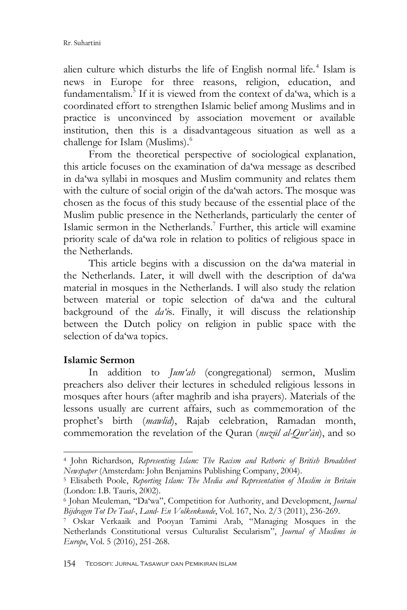alien culture which disturbs the life of English normal life.<sup>4</sup> Islam is news in Europe for three reasons, religion, education, and fundamentalism.<sup>5</sup> If it is viewed from the context of da'wa, which is a coordinated effort to strengthen Islamic belief among Muslims and in practice is unconvinced by association movement or available institution, then this is a disadvantageous situation as well as a challenge for Islam (Muslims).<sup>6</sup>

From the theoretical perspective of sociological explanation, this article focuses on the examination of da"wa message as described in da"wa syllabi in mosques and Muslim community and relates them with the culture of social origin of the da"wah actors. The mosque was chosen as the focus of this study because of the essential place of the Muslim public presence in the Netherlands, particularly the center of Islamic sermon in the Netherlands.<sup>7</sup> Further, this article will examine priority scale of da"wa role in relation to politics of religious space in the Netherlands.

This article begins with a discussion on the da"wa material in the Netherlands. Later, it will dwell with the description of da"wa material in mosques in the Netherlands. I will also study the relation between material or topic selection of da"wa and the cultural background of the *da'i*s. Finally, it will discuss the relationship between the Dutch policy on religion in public space with the selection of da'wa topics.

## **Islamic Sermon**

-

In addition to *Jum'ah* (congregational) sermon, Muslim preachers also deliver their lectures in scheduled religious lessons in mosques after hours (after maghrib and isha prayers). Materials of the lessons usually are current affairs, such as commemoration of the prophet"s birth (*mawlid*), Rajab celebration, Ramadan month, commemoration the revelation of the Quran (*nuzūl al-Qur'ān*), and so

<sup>4</sup> John Richardson, *Representing Islam: The Racism and Rethoric of British Broadsheet Newspaper* (Amsterdam: John Benjamins Publishing Company, 2004).

<sup>5</sup> Elisabeth Poole, *Reporting Islam: The Media and Representation of Muslim in Britain* (London: I.B. Tauris, 2002).

<sup>6</sup> Johan Meuleman, "Da"wa", Competition for Authority, and Development, *Journal Bijdragen Tot De Taal-*, *Land- En Volkenkunde*, Vol. 167, No. 2/3 (2011), 236-269.

<sup>7</sup> Oskar Verkaaik and Pooyan Tamimi Arab, "Managing Mosques in the Netherlands Constitutional versus Culturalist Secularism", *Journal of Muslims in Europe*, Vol. 5 (2016), 251-268.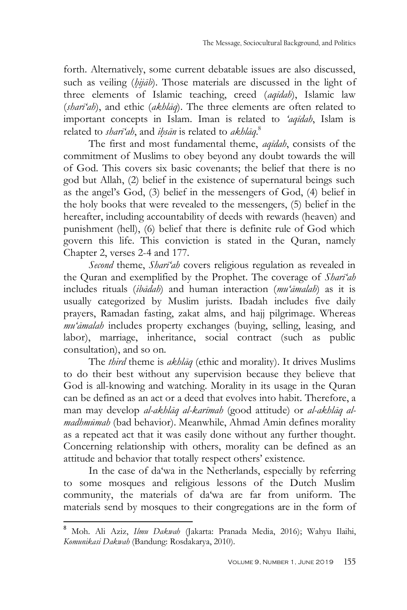forth. Alternatively, some current debatable issues are also discussed, such as veiling (*hijab*). Those materials are discussed in the light of three elements of Islamic teaching, creed (*aqīdah*), Islamic law (*sharī'ah*), and ethic (*akhlāq*). The three elements are often related to important concepts in Islam. Iman is related to *'aqīdah*, Islam is related to *sharī'ah*, and *ih*}*sān* is related to *akhlāq*. 8

The first and most fundamental theme, *aqīdah*, consists of the commitment of Muslims to obey beyond any doubt towards the will of God. This covers six basic covenants; the belief that there is no god but Allah, (2) belief in the existence of supernatural beings such as the angel"s God, (3) belief in the messengers of God, (4) belief in the holy books that were revealed to the messengers, (5) belief in the hereafter, including accountability of deeds with rewards (heaven) and punishment (hell), (6) belief that there is definite rule of God which govern this life. This conviction is stated in the Quran, namely Chapter 2, verses 2-4 and 177.

*Second* theme, *Sharī'ah* covers religious regulation as revealed in the Quran and exemplified by the Prophet. The coverage of *Sharī'ah* includes rituals (*ibādah*) and human interaction (*mu'āmalah*) as it is usually categorized by Muslim jurists. Ibadah includes five daily prayers, Ramadan fasting, zakat alms, and hajj pilgrimage. Whereas *mu'āmalah* includes property exchanges (buying, selling, leasing, and labor), marriage, inheritance, social contract (such as public consultation), and so on.

The *third* theme is *akhlāq* (ethic and morality). It drives Muslims to do their best without any supervision because they believe that God is all-knowing and watching. Morality in its usage in the Quran can be defined as an act or a deed that evolves into habit. Therefore, a man may develop *al-akhlāq al-karīmah* (good attitude) or *al-akhlāq almadhmūmah* (bad behavior). Meanwhile, Ahmad Amin defines morality as a repeated act that it was easily done without any further thought. Concerning relationship with others, morality can be defined as an attitude and behavior that totally respect others' existence.

In the case of da"wa in the Netherlands, especially by referring to some mosques and religious lessons of the Dutch Muslim community, the materials of da"wa are far from uniform. The materials send by mosques to their congregations are in the form of

<sup>8</sup> Moh. Ali Aziz, *Ilmu Dakwah* (Jakarta: Pranada Media, 2016); Wahyu Ilaihi, *Komunikasi Dakwah* (Bandung: Rosdakarya, 2010).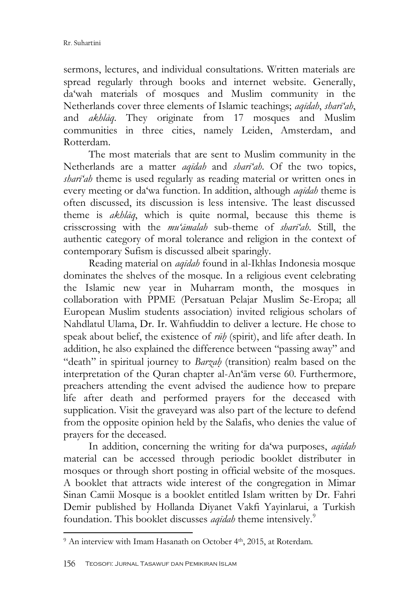sermons, lectures, and individual consultations. Written materials are spread regularly through books and internet website. Generally, da"wah materials of mosques and Muslim community in the Netherlands cover three elements of Islamic teachings; *aqīdah*, *sharī'ah*, and *akhlāq*. They originate from 17 mosques and Muslim communities in three cities, namely Leiden, Amsterdam, and Rotterdam.

The most materials that are sent to Muslim community in the Netherlands are a matter *aqīdah* and *sharī'ah*. Of the two topics, *sharī'ah* theme is used regularly as reading material or written ones in every meeting or da"wa function. In addition, although *aqīdah* theme is often discussed, its discussion is less intensive. The least discussed theme is *akhlāq*, which is quite normal, because this theme is crisscrossing with the *mu'āmalah* sub-theme of *sharī'ah*. Still, the authentic category of moral tolerance and religion in the context of contemporary Sufism is discussed albeit sparingly.

Reading material on *aqīdah* found in al-Ikhlas Indonesia mosque dominates the shelves of the mosque. In a religious event celebrating the Islamic new year in Muharram month, the mosques in collaboration with PPME (Persatuan Pelajar Muslim Se-Eropa; all European Muslim students association) invited religious scholars of Nahdlatul Ulama, Dr. Ir. Wahfiuddin to deliver a lecture. He chose to speak about belief, the existence of *rūh*} (spirit), and life after death. In addition, he also explained the difference between "passing away" and "death" in spiritual journey to *Barzah*} (transition) realm based on the interpretation of the Quran chapter al-An"ām verse 60. Furthermore, preachers attending the event advised the audience how to prepare life after death and performed prayers for the deceased with supplication. Visit the graveyard was also part of the lecture to defend from the opposite opinion held by the Salafis, who denies the value of prayers for the deceased.

In addition, concerning the writing for da"wa purposes, *aqīdah* material can be accessed through periodic booklet distributer in mosques or through short posting in official website of the mosques. A booklet that attracts wide interest of the congregation in Mimar Sinan Camii Mosque is a booklet entitled Islam written by Dr. Fahri Demir published by Hollanda Diyanet Vakfi Yayinlarui, a Turkish foundation. This booklet discusses *aqīdah* theme intensively.<sup>9</sup>

<sup>&</sup>lt;sup>9</sup> An interview with Imam Hasanath on October 4<sup>th</sup>, 2015, at Roterdam.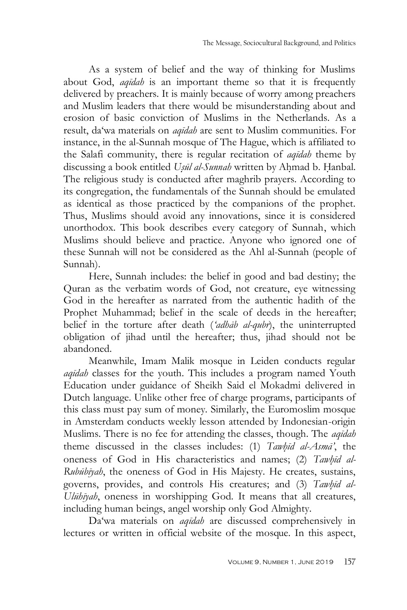As a system of belief and the way of thinking for Muslims about God, *aqīdah* is an important theme so that it is frequently delivered by preachers. It is mainly because of worry among preachers and Muslim leaders that there would be misunderstanding about and erosion of basic conviction of Muslims in the Netherlands. As a result, da"wa materials on *aqīdah* are sent to Muslim communities. For instance, in the al-Sunnah mosque of The Hague, which is affiliated to the Salafi community, there is regular recitation of *aqīdah* theme by discussing a book entitled *Usūl al-Sunnah* written by Ahmad b. Hanbal. The religious study is conducted after maghrib prayers. According to its congregation, the fundamentals of the Sunnah should be emulated as identical as those practiced by the companions of the prophet. Thus, Muslims should avoid any innovations, since it is considered unorthodox. This book describes every category of Sunnah, which Muslims should believe and practice. Anyone who ignored one of these Sunnah will not be considered as the Ahl al-Sunnah (people of Sunnah).

Here, Sunnah includes: the belief in good and bad destiny; the Quran as the verbatim words of God, not creature, eye witnessing God in the hereafter as narrated from the authentic hadith of the Prophet Muhammad; belief in the scale of deeds in the hereafter; belief in the torture after death (*'adhāb al-qubr*), the uninterrupted obligation of jihad until the hereafter; thus, jihad should not be abandoned.

Meanwhile, Imam Malik mosque in Leiden conducts regular *aqīdah* classes for the youth. This includes a program named Youth Education under guidance of Sheikh Said el Mokadmi delivered in Dutch language. Unlike other free of charge programs, participants of this class must pay sum of money. Similarly, the Euromoslim mosque in Amsterdam conducts weekly lesson attended by Indonesian-origin Muslims. There is no fee for attending the classes, though. The *aqīdah* theme discussed in the classes includes: (1) *Tawhīd al-Asmā*<sup>'</sup>, the oneness of God in His characteristics and names; (2) *Tawhid al-Rubūbīyah*, the oneness of God in His Majesty. He creates, sustains, governs, provides, and controls His creatures; and (3) *Tawhīd al-Ulūhīyah*, oneness in worshipping God. It means that all creatures, including human beings, angel worship only God Almighty.

Da"wa materials on *aqīdah* are discussed comprehensively in lectures or written in official website of the mosque. In this aspect,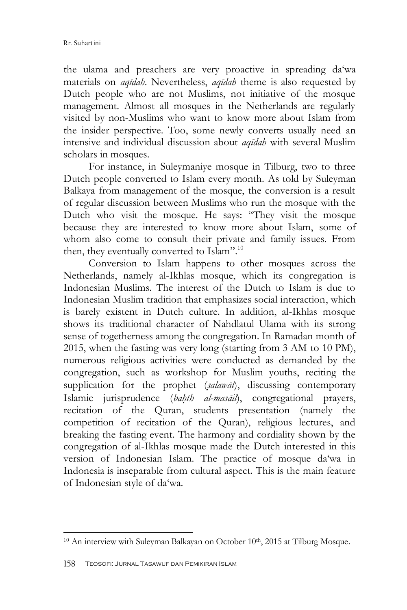the ulama and preachers are very proactive in spreading da"wa materials on *aqīdah*. Nevertheless, *aqīdah* theme is also requested by Dutch people who are not Muslims, not initiative of the mosque management. Almost all mosques in the Netherlands are regularly visited by non-Muslims who want to know more about Islam from the insider perspective. Too, some newly converts usually need an intensive and individual discussion about *aqīdah* with several Muslim scholars in mosques.

For instance, in Suleymaniye mosque in Tilburg, two to three Dutch people converted to Islam every month. As told by Suleyman Balkaya from management of the mosque, the conversion is a result of regular discussion between Muslims who run the mosque with the Dutch who visit the mosque. He says: "They visit the mosque because they are interested to know more about Islam, some of whom also come to consult their private and family issues. From then, they eventually converted to Islam".<sup>10</sup>

Conversion to Islam happens to other mosques across the Netherlands, namely al-Ikhlas mosque, which its congregation is Indonesian Muslims. The interest of the Dutch to Islam is due to Indonesian Muslim tradition that emphasizes social interaction, which is barely existent in Dutch culture. In addition, al-Ikhlas mosque shows its traditional character of Nahdlatul Ulama with its strong sense of togetherness among the congregation. In Ramadan month of 2015, when the fasting was very long (starting from 3 AM to 10 PM), numerous religious activities were conducted as demanded by the congregation, such as workshop for Muslim youths, reciting the supplication for the prophet (*s*}*alawāt*), discussing contemporary Islamic jurisprudence (*bah*}*th al-masāil*), congregational prayers, recitation of the Quran, students presentation (namely the competition of recitation of the Quran), religious lectures, and breaking the fasting event. The harmony and cordiality shown by the congregation of al-Ikhlas mosque made the Dutch interested in this version of Indonesian Islam. The practice of mosque da'wa in Indonesia is inseparable from cultural aspect. This is the main feature of Indonesian style of da"wa.

<sup>&</sup>lt;sup>10</sup> An interview with Suleyman Balkayan on October 10<sup>th</sup>, 2015 at Tilburg Mosque.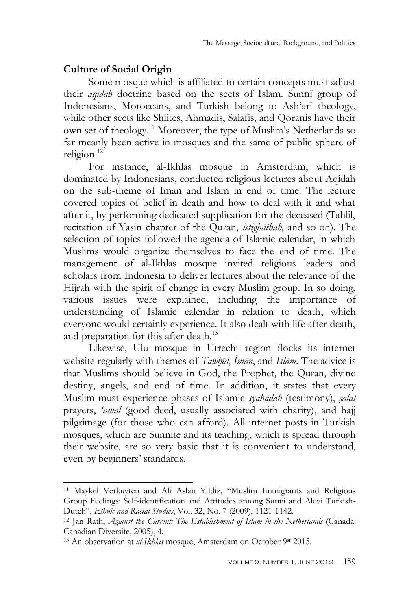### **Culture of Social Origin**

Some mosque which is affiliated to certain concepts must adjust their *aqīdah* doctrine based on the sects of Islam. Sunnī group of Indonesians, Moroccans, and Turkish belong to Ash'arī theology, while other sects like Shiites, Ahmadis, Salafis, and Qoranis have their own set of theology.<sup>11</sup> Moreover, the type of Muslim"s Netherlands so far meanly been active in mosques and the same of public sphere of religion.<sup>12</sup>

For instance, al-Ikhlas mosque in Amsterdam, which is dominated by Indonesians, conducted religious lectures about Aqidah on the sub-theme of Iman and Islam in end of time. The lecture covered topics of belief in death and how to deal with it and what after it, by performing dedicated supplication for the deceased (Tahlil, recitation of Yasin chapter of the Quran, *istighāthah*, and so on). The selection of topics followed the agenda of Islamic calendar, in which Muslims would organize themselves to face the end of time. The management of al-Ikhlas mosque invited religious leaders and scholars from Indonesia to deliver lectures about the relevance of the Hijrah with the spirit of change in every Muslim group. In so doing, various issues were explained, including the importance of understanding of Islamic calendar in relation to death, which everyone would certainly experience. It also dealt with life after death, and preparation for this after death.<sup>13</sup>

Likewise, Ulu mosque in Utrecht region flocks its internet website regularly with themes of *Tawhīd*, *Imān*, and *Islām*. The advice is that Muslims should believe in God, the Prophet, the Quran, divine destiny, angels, and end of time. In addition, it states that every Muslim must experience phases of Islamic *syahādah* (testimony), *s*}*alat* prayers, *'amal* (good deed, usually associated with charity), and hajj pilgrimage (for those who can afford). All internet posts in Turkish mosques, which are Sunnite and its teaching, which is spread through their website, are so very basic that it is convenient to understand, even by beginners' standards.

<sup>11</sup> Maykel Verkuyten and Ali Aslan Yildiz, "Muslim Immigrants and Religious Group Feelings: Self-identification and Attitudes among Sunni and Alevi Turkish-Dutch", *Ethnic and Racial Studies*, Vol. 32, No. 7 (2009), 1121-1142.

<sup>12</sup> Jan Rath, *Against the Current: The Establishment of Islam in the Netherlands* (Canada: Canadian Diversite, 2005), 4.

<sup>&</sup>lt;sup>13</sup> An observation at *al-Ikhlas* mosque, Amsterdam on October 9st 2015.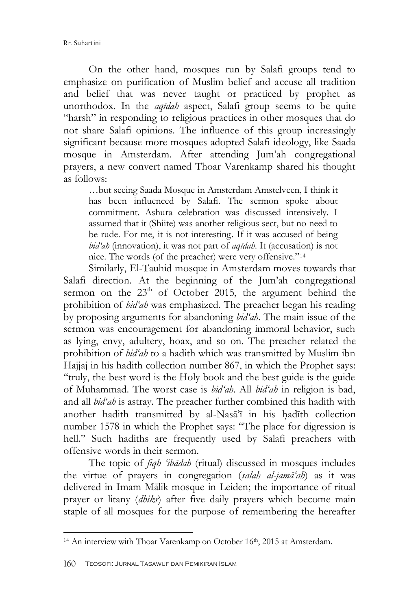On the other hand, mosques run by Salafi groups tend to emphasize on purification of Muslim belief and accuse all tradition and belief that was never taught or practiced by prophet as unorthodox. In the *aqīdah* aspect, Salafi group seems to be quite "harsh" in responding to religious practices in other mosques that do not share Salafi opinions. The influence of this group increasingly significant because more mosques adopted Salafi ideology, like Saada mosque in Amsterdam. After attending Jum"ah congregational prayers, a new convert named Thoar Varenkamp shared his thought as follows:

…but seeing Saada Mosque in Amsterdam Amstelveen, I think it has been influenced by Salafi. The sermon spoke about commitment. Ashura celebration was discussed intensively. I assumed that it (Shiite) was another religious sect, but no need to be rude. For me, it is not interesting. If it was accused of being *bid'ah* (innovation), it was not part of *aqīdah*. It (accusation) is not nice. The words (of the preacher) were very offensive."<sup>14</sup>

Similarly, El-Tauhid mosque in Amsterdam moves towards that Salafi direction. At the beginning of the Jum"ah congregational sermon on the  $23<sup>th</sup>$  of October 2015, the argument behind the prohibition of *bid'ah* was emphasized. The preacher began his reading by proposing arguments for abandoning *bid'ah*. The main issue of the sermon was encouragement for abandoning immoral behavior, such as lying, envy, adultery, hoax, and so on. The preacher related the prohibition of *bid'ah* to a hadith which was transmitted by Muslim ibn Hajjaj in his hadith collection number 867, in which the Prophet says: "truly, the best word is the Holy book and the best guide is the guide of Muhammad. The worst case is *bid'ah*. All *bid'ah* in religion is bad, and all *bid'ah* is astray. The preacher further combined this hadith with another hadith transmitted by al-Nasā'ī in his hadīth collection number 1578 in which the Prophet says: "The place for digression is hell." Such hadiths are frequently used by Salafi preachers with offensive words in their sermon.

The topic of *fiqh 'ibādah* (ritual) discussed in mosques includes the virtue of prayers in congregation (*salah al-jamā'ah*) as it was delivered in Imam Mālik mosque in Leiden; the importance of ritual prayer or litany (*dhikr*) after five daily prayers which become main staple of all mosques for the purpose of remembering the hereafter

<sup>&</sup>lt;sup>14</sup> An interview with Thoar Varenkamp on October 16<sup>th</sup>, 2015 at Amsterdam.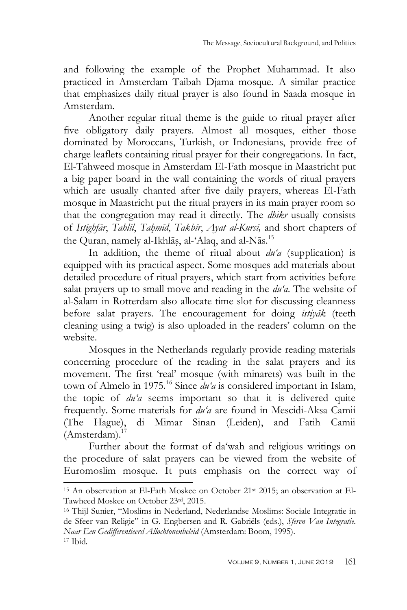and following the example of the Prophet Muhammad. It also practiced in Amsterdam Taibah Djama mosque. A similar practice that emphasizes daily ritual prayer is also found in Saada mosque in Amsterdam.

Another regular ritual theme is the guide to ritual prayer after five obligatory daily prayers. Almost all mosques, either those dominated by Moroccans, Turkish, or Indonesians, provide free of charge leaflets containing ritual prayer for their congregations. In fact, El-Tahweed mosque in Amsterdam El-Fath mosque in Maastricht put a big paper board in the wall containing the words of ritual prayers which are usually chanted after five daily prayers, whereas El-Fath mosque in Maastricht put the ritual prayers in its main prayer room so that the congregation may read it directly. The *dhikr* usually consists of *Istighfār*, *Tahlīl*, *Tah*}*mīd*, *Takbīr*, *Ayat al-Kursī,* and short chapters of the Quran, namely al-Ikhlāṣ, al-ʿAlaq, and al-Nās.<sup>15</sup>

In addition, the theme of ritual about *du'a* (supplication) is equipped with its practical aspect. Some mosques add materials about detailed procedure of ritual prayers, which start from activities before salat prayers up to small move and reading in the *du'a*. The website of al-Salam in Rotterdam also allocate time slot for discussing cleanness before salat prayers. The encouragement for doing *istiyāk* (teeth cleaning using a twig) is also uploaded in the readers" column on the website.

Mosques in the Netherlands regularly provide reading materials concerning procedure of the reading in the salat prayers and its movement. The first "real" mosque (with minarets) was built in the town of Almelo in 1975.<sup>16</sup> Since *du'a* is considered important in Islam, the topic of *du'a* seems important so that it is delivered quite frequently. Some materials for *du'a* are found in Mescidi-Aksa Camii (The Hague), di Mimar Sinan (Leiden), and Fatih Camii  $(Amsterdam).<sup>17</sup>$ 

Further about the format of da'wah and religious writings on the procedure of salat prayers can be viewed from the website of Euromoslim mosque. It puts emphasis on the correct way of

<sup>&</sup>lt;sup>15</sup> An observation at El-Fath Moskee on October 21<sup>st</sup> 2015; an observation at El-Tawheed Moskee on October 23rd, 2015.

<sup>16</sup> Thijl Sunier, "Moslims in Nederland, Nederlandse Moslims: Sociale Integratie in de Sfeer van Religie" in G. Engbersen and R. Gabriëls (eds.), *Sferen Van Integratie. Naar Een Gedifferentieerd Allochtonenbeleid* (Amsterdam: Boom, 1995). <sup>17</sup> Ibid*.*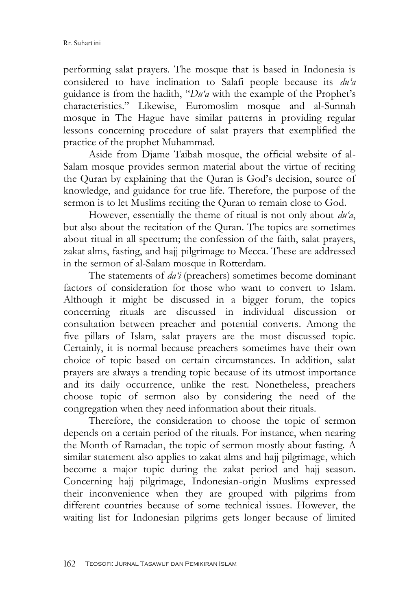performing salat prayers. The mosque that is based in Indonesia is considered to have inclination to Salafi people because its *du'a* guidance is from the hadith, "*Du'a* with the example of the Prophet"s characteristics." Likewise, Euromoslim mosque and al-Sunnah mosque in The Hague have similar patterns in providing regular lessons concerning procedure of salat prayers that exemplified the practice of the prophet Muhammad.

Aside from Djame Taibah mosque, the official website of al-Salam mosque provides sermon material about the virtue of reciting the Quran by explaining that the Quran is God"s decision, source of knowledge, and guidance for true life. Therefore, the purpose of the sermon is to let Muslims reciting the Quran to remain close to God.

However, essentially the theme of ritual is not only about *du'a*, but also about the recitation of the Quran. The topics are sometimes about ritual in all spectrum; the confession of the faith, salat prayers, zakat alms, fasting, and hajj pilgrimage to Mecca. These are addressed in the sermon of al-Salam mosque in Rotterdam.

The statements of *da'i* (preachers) sometimes become dominant factors of consideration for those who want to convert to Islam. Although it might be discussed in a bigger forum, the topics concerning rituals are discussed in individual discussion or consultation between preacher and potential converts. Among the five pillars of Islam, salat prayers are the most discussed topic. Certainly, it is normal because preachers sometimes have their own choice of topic based on certain circumstances. In addition, salat prayers are always a trending topic because of its utmost importance and its daily occurrence, unlike the rest. Nonetheless, preachers choose topic of sermon also by considering the need of the congregation when they need information about their rituals.

Therefore, the consideration to choose the topic of sermon depends on a certain period of the rituals. For instance, when nearing the Month of Ramadan, the topic of sermon mostly about fasting. A similar statement also applies to zakat alms and hajj pilgrimage, which become a major topic during the zakat period and hajj season. Concerning hajj pilgrimage, Indonesian-origin Muslims expressed their inconvenience when they are grouped with pilgrims from different countries because of some technical issues. However, the waiting list for Indonesian pilgrims gets longer because of limited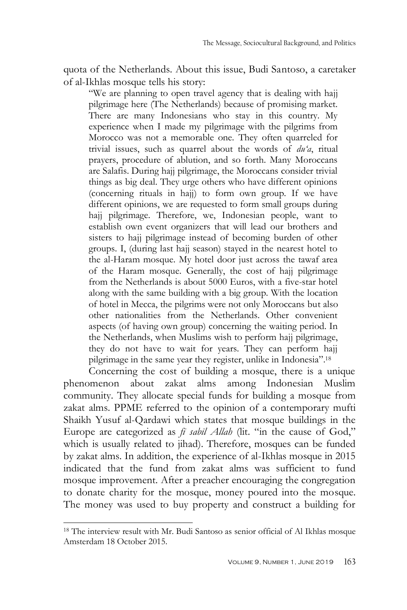quota of the Netherlands. About this issue, Budi Santoso, a caretaker of al-Ikhlas mosque tells his story:

"We are planning to open travel agency that is dealing with hajj pilgrimage here (The Netherlands) because of promising market. There are many Indonesians who stay in this country. My experience when I made my pilgrimage with the pilgrims from Morocco was not a memorable one. They often quarreled for trivial issues, such as quarrel about the words of *du'a*, ritual prayers, procedure of ablution, and so forth. Many Moroccans are Salafis. During hajj pilgrimage, the Moroccans consider trivial things as big deal. They urge others who have different opinions (concerning rituals in hajj) to form own group. If we have different opinions, we are requested to form small groups during hajj pilgrimage. Therefore, we, Indonesian people, want to establish own event organizers that will lead our brothers and sisters to hajj pilgrimage instead of becoming burden of other groups. I, (during last hajj season) stayed in the nearest hotel to the al-Haram mosque. My hotel door just across the tawaf area of the Haram mosque. Generally, the cost of hajj pilgrimage from the Netherlands is about 5000 Euros, with a five-star hotel along with the same building with a big group. With the location of hotel in Mecca, the pilgrims were not only Moroccans but also other nationalities from the Netherlands. Other convenient aspects (of having own group) concerning the waiting period. In the Netherlands, when Muslims wish to perform hajj pilgrimage, they do not have to wait for years. They can perform hajj pilgrimage in the same year they register, unlike in Indonesia".<sup>18</sup>

Concerning the cost of building a mosque, there is a unique phenomenon about zakat alms among Indonesian Muslim community. They allocate special funds for building a mosque from zakat alms. PPME referred to the opinion of a contemporary mufti Shaikh Yusuf al-Qardawi which states that mosque buildings in the Europe are categorized as *fī sabīl Allah* (lit. "in the cause of God," which is usually related to jihad). Therefore, mosques can be funded by zakat alms. In addition, the experience of al-Ikhlas mosque in 2015 indicated that the fund from zakat alms was sufficient to fund mosque improvement. After a preacher encouraging the congregation to donate charity for the mosque, money poured into the mosque. The money was used to buy property and construct a building for

<sup>18</sup> The interview result with Mr. Budi Santoso as senior official of Al Ikhlas mosque Amsterdam 18 October 2015.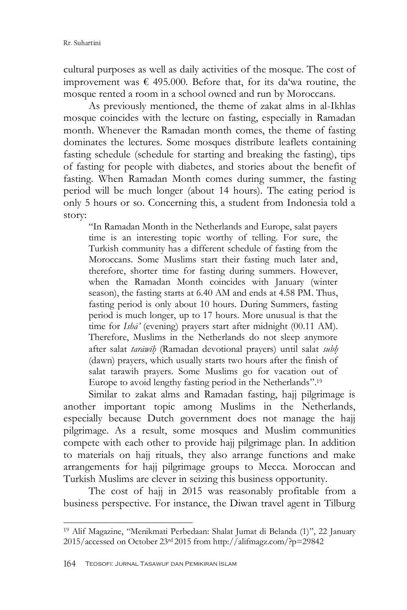cultural purposes as well as daily activities of the mosque. The cost of improvement was  $\epsilon$  495.000. Before that, for its da'wa routine, the mosque rented a room in a school owned and run by Moroccans.

As previously mentioned, the theme of zakat alms in al-Ikhlas mosque coincides with the lecture on fasting, especially in Ramadan month. Whenever the Ramadan month comes, the theme of fasting dominates the lectures. Some mosques distribute leaflets containing fasting schedule (schedule for starting and breaking the fasting), tips of fasting for people with diabetes, and stories about the benefit of fasting. When Ramadan Month comes during summer, the fasting period will be much longer (about 14 hours). The eating period is only 5 hours or so. Concerning this, a student from Indonesia told a story:

"In Ramadan Month in the Netherlands and Europe, salat payers time is an interesting topic worthy of telling. For sure, the Turkish community has a different schedule of fasting from the Moroccans. Some Muslims start their fasting much later and, therefore, shorter time for fasting during summers. However, when the Ramadan Month coincides with January (winter season), the fasting starts at 6.40 AM and ends at 4.58 PM. Thus, fasting period is only about 10 hours. During Summers, fasting period is much longer, up to 17 hours. More unusual is that the time for *Ishā'* (evening) prayers start after midnight (00.11 AM). Therefore, Muslims in the Netherlands do not sleep anymore after salat *tarāwīh*} (Ramadan devotional prayers) until salat *subh*} (dawn) prayers, which usually starts two hours after the finish of salat tarawih prayers. Some Muslims go for vacation out of Europe to avoid lengthy fasting period in the Netherlands".<sup>19</sup>

Similar to zakat alms and Ramadan fasting, hajj pilgrimage is another important topic among Muslims in the Netherlands, especially because Dutch government does not manage the hajj pilgrimage. As a result, some mosques and Muslim communities compete with each other to provide hajj pilgrimage plan. In addition to materials on hajj rituals, they also arrange functions and make arrangements for hajj pilgrimage groups to Mecca. Moroccan and Turkish Muslims are clever in seizing this business opportunity.

The cost of hajj in 2015 was reasonably profitable from a business perspective. For instance, the Diwan travel agent in Tilburg

<sup>19</sup> Alif Magazine, "Menikmati Perbedaan: Shalat Jumat di Belanda (1)", 22 January 2015/accessed on October 23rd 2015 from http://alifmagz.com/?p=29842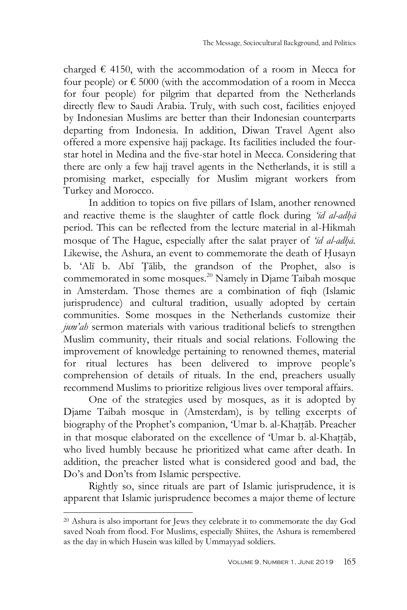charged  $\epsilon$  4150, with the accommodation of a room in Mecca for four people) or  $\epsilon$  5000 (with the accommodation of a room in Mecca for four people) for pilgrim that departed from the Netherlands directly flew to Saudi Arabia. Truly, with such cost, facilities enjoyed by Indonesian Muslims are better than their Indonesian counterparts departing from Indonesia. In addition, Diwan Travel Agent also offered a more expensive hajj package. Its facilities included the fourstar hotel in Medina and the five-star hotel in Mecca. Considering that there are only a few hajj travel agents in the Netherlands, it is still a promising market, especially for Muslim migrant workers from Turkey and Morocco.

In addition to topics on five pillars of Islam, another renowned and reactive theme is the slaughter of cattle flock during 'id al-adha<sup>*i*</sup> period. This can be reflected from the lecture material in al-Hikmah mosque of The Hague, especially after the salat prayer of '*īd al-adhā*. Likewise, the Ashura, an event to commemorate the death of Husayn b. "Alī b. Abī T{ālib, the grandson of the Prophet, also is commemorated in some mosques.<sup>20</sup> Namely in Djame Taibah mosque in Amsterdam. Those themes are a combination of fiqh (Islamic jurisprudence) and cultural tradition, usually adopted by certain communities. Some mosques in the Netherlands customize their *jum'ah* sermon materials with various traditional beliefs to strengthen Muslim community, their rituals and social relations. Following the improvement of knowledge pertaining to renowned themes, material for ritual lectures has been delivered to improve people"s comprehension of details of rituals. In the end, preachers usually recommend Muslims to prioritize religious lives over temporal affairs.

One of the strategies used by mosques, as it is adopted by Djame Taibah mosque in (Amsterdam), is by telling excerpts of biography of the Prophet's companion, 'Umar b. al-Khattāb. Preacher in that mosque elaborated on the excellence of 'Umar b. al-Khattāb, who lived humbly because he prioritized what came after death. In addition, the preacher listed what is considered good and bad, the Do"s and Don"ts from Islamic perspective.

Rightly so, since rituals are part of Islamic jurisprudence, it is apparent that Islamic jurisprudence becomes a major theme of lecture

<sup>20</sup> Ashura is also important for Jews they celebrate it to commemorate the day God saved Noah from flood. For Muslims, especially Shiites, the Ashura is remembered as the day in which Husein was killed by Ummayyad soldiers.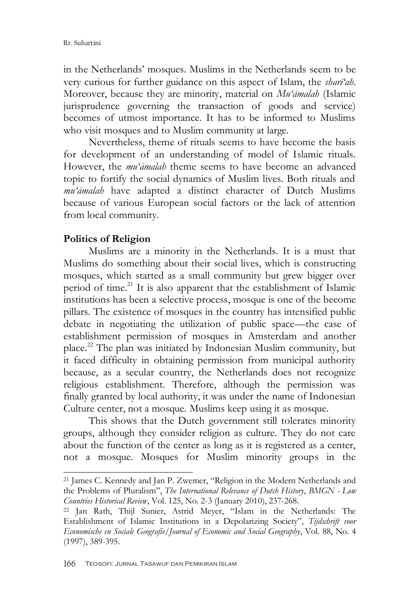in the Netherlands" mosques. Muslims in the Netherlands seem to be very curious for further guidance on this aspect of Islam, the *sharī'ah*. Moreover, because they are minority, material on *Mu'āmalah* (Islamic jurisprudence governing the transaction of goods and service) becomes of utmost importance. It has to be informed to Muslims who visit mosques and to Muslim community at large.

Nevertheless, theme of rituals seems to have become the basis for development of an understanding of model of Islamic rituals. However, the *mu'āmalah* theme seems to have become an advanced topic to fortify the social dynamics of Muslim lives. Both rituals and *mu'āmalah* have adapted a distinct character of Dutch Muslims because of various European social factors or the lack of attention from local community.

### **Politics of Religion**

-

Muslims are a minority in the Netherlands. It is a must that Muslims do something about their social lives, which is constructing mosques, which started as a small community but grew bigger over period of time.<sup>21</sup> It is also apparent that the establishment of Islamic institutions has been a selective process, mosque is one of the become pillars. The existence of mosques in the country has intensified public debate in negotiating the utilization of public space—the case of establishment permission of mosques in Amsterdam and another place. <sup>22</sup> The plan was initiated by Indonesian Muslim community, but it faced difficulty in obtaining permission from municipal authority because, as a secular country, the Netherlands does not recognize religious establishment. Therefore, although the permission was finally granted by local authority, it was under the name of Indonesian Culture center, not a mosque. Muslims keep using it as mosque.

This shows that the Dutch government still tolerates minority groups, although they consider religion as culture. They do not care about the function of the center as long as it is registered as a center, not a mosque. Mosques for Muslim minority groups in the

<sup>21</sup> James C. Kennedy and Jan P. Zwemer, "Religion in the Modern Netherlands and the Problems of Pluralism", *The International Relevance of Dutch History*, *BMGN - Low Countries Historical Review*, Vol. 125, No. 2-3 (January 2010), 237-268.

<sup>22</sup> Jan Rath, Thijl Sunier, Astrid Meyer, "Islam in the Netherlands: The Establishment of Islamic Institutions in a Depolarizing Society", *Tijdschrift voor Economische en Sociale Geografie*/*Journal of Economic and Social Geography*, Vol. 88, No. 4 (1997), 389-395.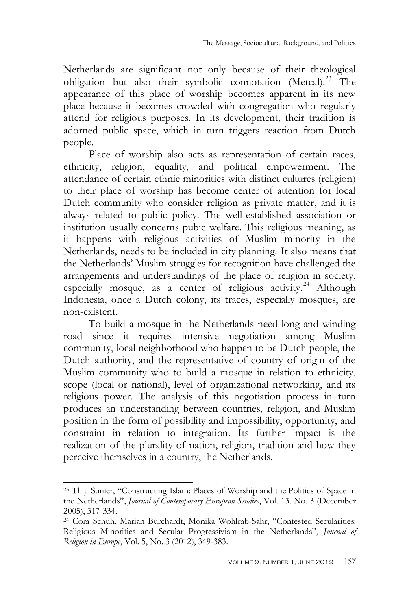Netherlands are significant not only because of their theological obligation but also their symbolic connotation (Metcal).<sup>23</sup> The appearance of this place of worship becomes apparent in its new place because it becomes crowded with congregation who regularly attend for religious purposes. In its development, their tradition is adorned public space, which in turn triggers reaction from Dutch people.

Place of worship also acts as representation of certain races, ethnicity, religion, equality, and political empowerment. The attendance of certain ethnic minorities with distinct cultures (religion) to their place of worship has become center of attention for local Dutch community who consider religion as private matter, and it is always related to public policy. The well-established association or institution usually concerns pubic welfare. This religious meaning, as it happens with religious activities of Muslim minority in the Netherlands, needs to be included in city planning. It also means that the Netherlands" Muslim struggles for recognition have challenged the arrangements and understandings of the place of religion in society, especially mosque, as a center of religious activity.<sup>24</sup> Although Indonesia, once a Dutch colony, its traces, especially mosques, are non-existent.

To build a mosque in the Netherlands need long and winding road since it requires intensive negotiation among Muslim community, local neighborhood who happen to be Dutch people, the Dutch authority, and the representative of country of origin of the Muslim community who to build a mosque in relation to ethnicity, scope (local or national), level of organizational networking, and its religious power. The analysis of this negotiation process in turn produces an understanding between countries, religion, and Muslim position in the form of possibility and impossibility, opportunity, and constraint in relation to integration. Its further impact is the realization of the plurality of nation, religion, tradition and how they perceive themselves in a country, the Netherlands.

<sup>23</sup> Thijl Sunier, "Constructing Islam: Places of Worship and the Politics of Space in the Netherlands", *Journal of Contemporary European Studies*, Vol. 13. No. 3 (December 2005), 317-334.

<sup>24</sup> Cora Schuh, Marian Burchardt, Monika Wohlrab-Sahr, "Contested Secularities: Religious Minorities and Secular Progressivism in the Netherlands", *Journal of Religion in Europe*, Vol. 5, No. 3 (2012), 349-383.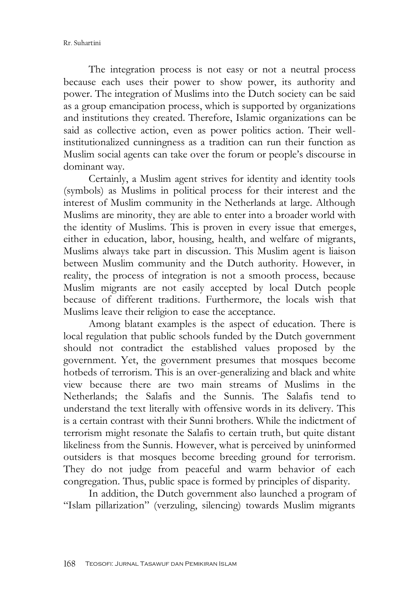The integration process is not easy or not a neutral process because each uses their power to show power, its authority and power. The integration of Muslims into the Dutch society can be said as a group emancipation process, which is supported by organizations and institutions they created. Therefore, Islamic organizations can be said as collective action, even as power politics action. Their wellinstitutionalized cunningness as a tradition can run their function as Muslim social agents can take over the forum or people"s discourse in dominant way.

Certainly, a Muslim agent strives for identity and identity tools (symbols) as Muslims in political process for their interest and the interest of Muslim community in the Netherlands at large. Although Muslims are minority, they are able to enter into a broader world with the identity of Muslims. This is proven in every issue that emerges, either in education, labor, housing, health, and welfare of migrants, Muslims always take part in discussion. This Muslim agent is liaison between Muslim community and the Dutch authority. However, in reality, the process of integration is not a smooth process, because Muslim migrants are not easily accepted by local Dutch people because of different traditions. Furthermore, the locals wish that Muslims leave their religion to ease the acceptance.

Among blatant examples is the aspect of education. There is local regulation that public schools funded by the Dutch government should not contradict the established values proposed by the government. Yet, the government presumes that mosques become hotbeds of terrorism. This is an over-generalizing and black and white view because there are two main streams of Muslims in the Netherlands; the Salafis and the Sunnis. The Salafis tend to understand the text literally with offensive words in its delivery. This is a certain contrast with their Sunni brothers. While the indictment of terrorism might resonate the Salafis to certain truth, but quite distant likeliness from the Sunnis. However, what is perceived by uninformed outsiders is that mosques become breeding ground for terrorism. They do not judge from peaceful and warm behavior of each congregation. Thus, public space is formed by principles of disparity.

In addition, the Dutch government also launched a program of "Islam pillarization" (verzuling, silencing) towards Muslim migrants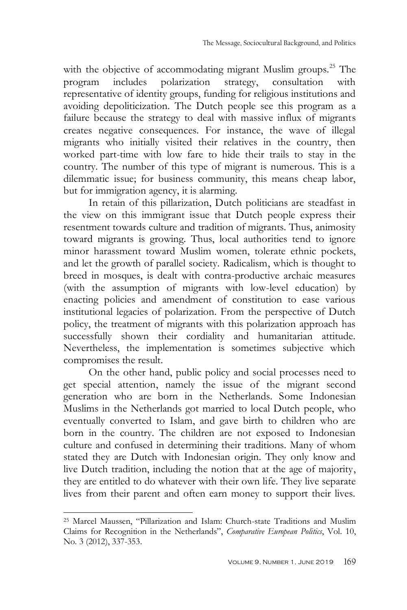with the objective of accommodating migrant Muslim groups.<sup>25</sup> The program includes polarization strategy, consultation with program includes polarization strategy, consultation with representative of identity groups, funding for religious institutions and avoiding depoliticization. The Dutch people see this program as a failure because the strategy to deal with massive influx of migrants creates negative consequences. For instance, the wave of illegal migrants who initially visited their relatives in the country, then worked part-time with low fare to hide their trails to stay in the country. The number of this type of migrant is numerous. This is a dilemmatic issue; for business community, this means cheap labor, but for immigration agency, it is alarming.

In retain of this pillarization, Dutch politicians are steadfast in the view on this immigrant issue that Dutch people express their resentment towards culture and tradition of migrants. Thus, animosity toward migrants is growing. Thus, local authorities tend to ignore minor harassment toward Muslim women, tolerate ethnic pockets, and let the growth of parallel society. Radicalism, which is thought to breed in mosques, is dealt with contra-productive archaic measures (with the assumption of migrants with low-level education) by enacting policies and amendment of constitution to ease various institutional legacies of polarization. From the perspective of Dutch policy, the treatment of migrants with this polarization approach has successfully shown their cordiality and humanitarian attitude. Nevertheless, the implementation is sometimes subjective which compromises the result.

On the other hand, public policy and social processes need to get special attention, namely the issue of the migrant second generation who are born in the Netherlands. Some Indonesian Muslims in the Netherlands got married to local Dutch people, who eventually converted to Islam, and gave birth to children who are born in the country. The children are not exposed to Indonesian culture and confused in determining their traditions. Many of whom stated they are Dutch with Indonesian origin. They only know and live Dutch tradition, including the notion that at the age of majority, they are entitled to do whatever with their own life. They live separate lives from their parent and often earn money to support their lives.

<sup>25</sup> Marcel Maussen, "Pillarization and Islam: Church-state Traditions and Muslim Claims for Recognition in the Netherlands", *Comparative European Politics*, Vol. 10, No. 3 (2012), 337-353.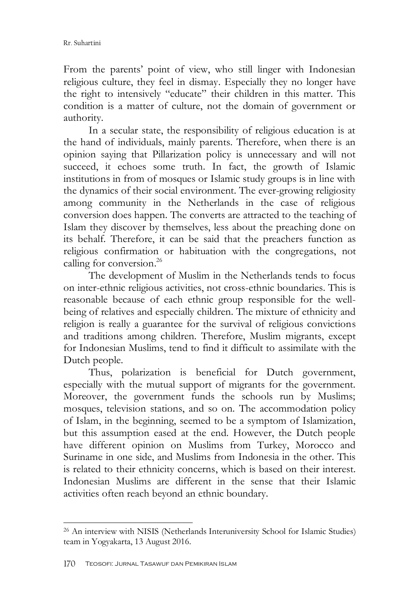From the parents' point of view, who still linger with Indonesian religious culture, they feel in dismay. Especially they no longer have the right to intensively "educate" their children in this matter. This condition is a matter of culture, not the domain of government or authority.

In a secular state, the responsibility of religious education is at the hand of individuals, mainly parents. Therefore, when there is an opinion saying that Pillarization policy is unnecessary and will not succeed, it echoes some truth. In fact, the growth of Islamic institutions in from of mosques or Islamic study groups is in line with the dynamics of their social environment. The ever-growing religiosity among community in the Netherlands in the case of religious conversion does happen. The converts are attracted to the teaching of Islam they discover by themselves, less about the preaching done on its behalf. Therefore, it can be said that the preachers function as religious confirmation or habituation with the congregations, not calling for conversion. 26

The development of Muslim in the Netherlands tends to focus on inter-ethnic religious activities, not cross-ethnic boundaries. This is reasonable because of each ethnic group responsible for the wellbeing of relatives and especially children. The mixture of ethnicity and religion is really a guarantee for the survival of religious convictions and traditions among children. Therefore, Muslim migrants, except for Indonesian Muslims, tend to find it difficult to assimilate with the Dutch people.

Thus, polarization is beneficial for Dutch government, especially with the mutual support of migrants for the government. Moreover, the government funds the schools run by Muslims; mosques, television stations, and so on. The accommodation policy of Islam, in the beginning, seemed to be a symptom of Islamization, but this assumption eased at the end. However, the Dutch people have different opinion on Muslims from Turkey, Morocco and Suriname in one side, and Muslims from Indonesia in the other. This is related to their ethnicity concerns, which is based on their interest. Indonesian Muslims are different in the sense that their Islamic activities often reach beyond an ethnic boundary.

<sup>26</sup> An interview with NISIS (Netherlands [Interuniversity](https://nisis.sites.uu.nl/about/nisis/) School for Islamic Studies) team in Yogyakarta, 13 August 2016.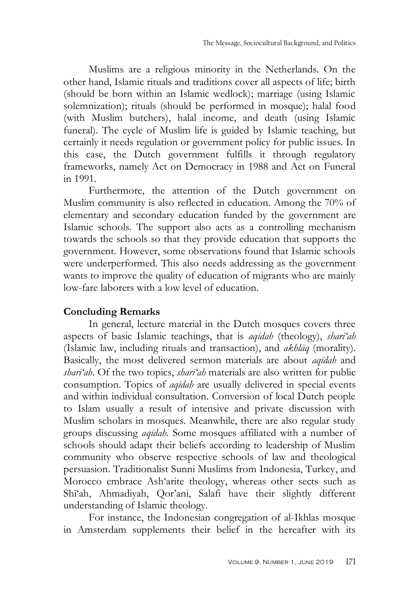Muslims are a religious minority in the Netherlands. On the other hand, Islamic rituals and traditions cover all aspects of life; birth (should be born within an Islamic wedlock); marriage (using Islamic solemnization); rituals (should be performed in mosque); halal food (with Muslim butchers), halal income, and death (using Islamic funeral). The cycle of Muslim life is guided by Islamic teaching, but certainly it needs regulation or government policy for public issues. In this case, the Dutch government fulfills it through regulatory frameworks, namely Act on Democracy in 1988 and Act on Funeral in 1991.

Furthermore, the attention of the Dutch government on Muslim community is also reflected in education. Among the 70% of elementary and secondary education funded by the government are Islamic schools. The support also acts as a controlling mechanism towards the schools so that they provide education that supports the government. However, some observations found that Islamic schools were underperformed. This also needs addressing as the government wants to improve the quality of education of migrants who are mainly low-fare laborers with a low level of education.

### **Concluding Remarks**

In general, lecture material in the Dutch mosques covers three aspects of basic Islamic teachings, that is *aqīdah* (theology), *sharī'ah* (Islamic law, including rituals and transaction), and *akhlāq* (morality). Basically, the most delivered sermon materials are about *aqīdah* and *sharī'ah*. Of the two topics, *sharī'ah* materials are also written for public consumption. Topics of *aqīdah* are usually delivered in special events and within individual consultation. Conversion of local Dutch people to Islam usually a result of intensive and private discussion with Muslim scholars in mosques. Meanwhile, there are also regular study groups discussing *aqīdah*. Some mosques affiliated with a number of schools should adapt their beliefs according to leadership of Muslim community who observe respective schools of law and theological persuasion. Traditionalist Sunni Muslims from Indonesia, Turkey, and Morocco embrace Ash"arite theology, whereas other sects such as Shī"ah, Ahmadiyah, Qor"ani, Salafi have their slightly different understanding of Islamic theology.

For instance, the Indonesian congregation of al-Ikhlas mosque in Amsterdam supplements their belief in the hereafter with its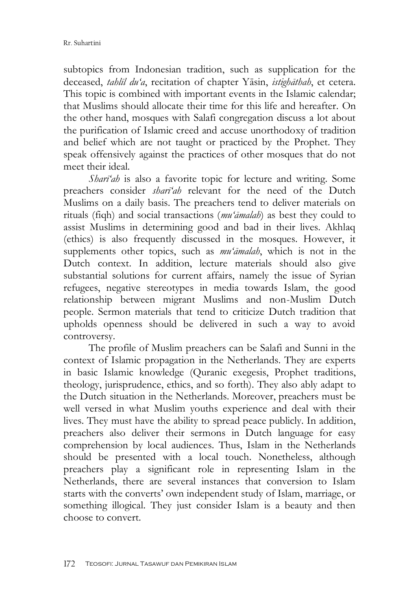subtopics from Indonesian tradition, such as supplication for the deceased, *tahlīl du'a*, recitation of chapter Yāsin, *istighāthah*, et cetera. This topic is combined with important events in the Islamic calendar; that Muslims should allocate their time for this life and hereafter. On the other hand, mosques with Salafi congregation discuss a lot about the purification of Islamic creed and accuse unorthodoxy of tradition and belief which are not taught or practiced by the Prophet. They speak offensively against the practices of other mosques that do not meet their ideal.

*Sharī'ah* is also a favorite topic for lecture and writing. Some preachers consider *sharī'ah* relevant for the need of the Dutch Muslims on a daily basis. The preachers tend to deliver materials on rituals (fiqh) and social transactions (*mu'āmalah*) as best they could to assist Muslims in determining good and bad in their lives. Akhlaq (ethics) is also frequently discussed in the mosques. However, it supplements other topics, such as *mu'āmalah*, which is not in the Dutch context. In addition, lecture materials should also give substantial solutions for current affairs, namely the issue of Syrian refugees, negative stereotypes in media towards Islam, the good relationship between migrant Muslims and non-Muslim Dutch people. Sermon materials that tend to criticize Dutch tradition that upholds openness should be delivered in such a way to avoid controversy.

The profile of Muslim preachers can be Salafi and Sunni in the context of Islamic propagation in the Netherlands. They are experts in basic Islamic knowledge (Quranic exegesis, Prophet traditions, theology, jurisprudence, ethics, and so forth). They also ably adapt to the Dutch situation in the Netherlands. Moreover, preachers must be well versed in what Muslim youths experience and deal with their lives. They must have the ability to spread peace publicly. In addition, preachers also deliver their sermons in Dutch language for easy comprehension by local audiences. Thus, Islam in the Netherlands should be presented with a local touch. Nonetheless, although preachers play a significant role in representing Islam in the Netherlands, there are several instances that conversion to Islam starts with the converts' own independent study of Islam, marriage, or something illogical. They just consider Islam is a beauty and then choose to convert.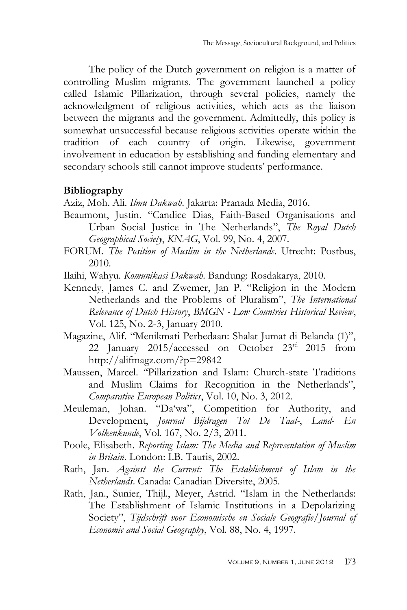The policy of the Dutch government on religion is a matter of controlling Muslim migrants. The government launched a policy called Islamic Pillarization, through several policies, namely the acknowledgment of religious activities, which acts as the liaison between the migrants and the government. Admittedly, this policy is somewhat unsuccessful because religious activities operate within the tradition of each country of origin. Likewise, government involvement in education by establishing and funding elementary and secondary schools still cannot improve students' performance.

### **Bibliography**

Aziz, Moh. Ali. *Ilmu Dakwah*. Jakarta: Pranada Media, 2016.

- Beaumont, Justin. "Candice Dias, Faith-Based Organisations and Urban Social Justice in The Netherlands", *The Royal Dutch Geographical Society*, *KNAG*, Vol. 99, No. 4, 2007.
- FORUM. *The Position of Muslim in the Netherlands*. Utrecht: Postbus, 2010.
- Ilaihi, Wahyu. *Komunikasi Dakwah*. Bandung: Rosdakarya, 2010.
- Kennedy, James C. and Zwemer, Jan P. "Religion in the Modern Netherlands and the Problems of Pluralism", *The International Relevance of Dutch History*, *BMGN - Low Countries Historical Review*, Vol. 125, No. 2-3, January 2010.
- Magazine, Alif. "Menikmati Perbedaan: Shalat Jumat di Belanda (1)", 22 January 2015/accessed on October 23rd 2015 from http://alifmagz.com/?p=29842
- Maussen, Marcel. "Pillarization and Islam: Church-state Traditions and Muslim Claims for Recognition in the Netherlands", *Comparative European Politics*, Vol. 10, No. 3, 2012.
- Meuleman, Johan. "Da"wa", Competition for Authority, and Development, *Journal Bijdragen Tot De Taal-*, *Land- En Volkenkunde*, Vol. 167, No. 2/3, 2011.
- Poole, Elisabeth. *Reporting Islam: The Media and Representation of Muslim in Britain*. London: I.B. Tauris, 2002.
- Rath, Jan. *Against the Current: The Establishment of Islam in the Netherlands*. Canada: Canadian Diversite, 2005.
- Rath, Jan., Sunier, Thijl., Meyer, Astrid. "Islam in the Netherlands: The Establishment of Islamic Institutions in a Depolarizing Society", *Tijdschrift voor Economische en Sociale Geografie*/*Journal of Economic and Social Geography*, Vol. 88, No. 4, 1997.